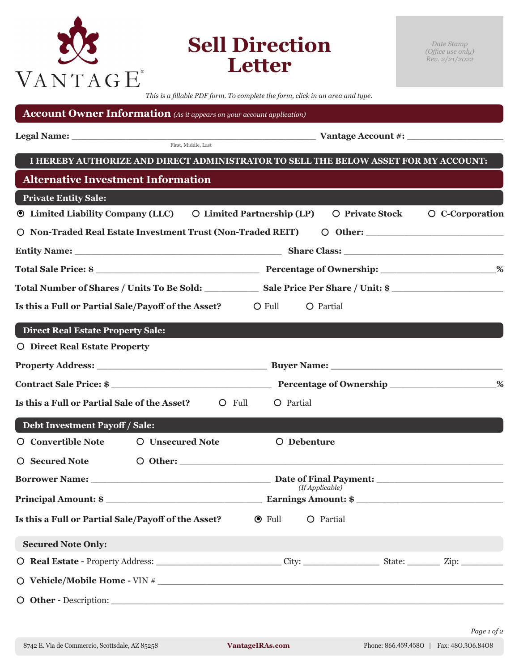| VANTAGE                                                                      |                         | <b>Sell Direction</b><br>Letter                                                                                                                                                                                                      |                 | Date Stamp<br>(Office use only)<br>Rev. 2/21/2022 |  |  |
|------------------------------------------------------------------------------|-------------------------|--------------------------------------------------------------------------------------------------------------------------------------------------------------------------------------------------------------------------------------|-----------------|---------------------------------------------------|--|--|
|                                                                              |                         | This is a fillable PDF form. To complete the form, click in an area and type.                                                                                                                                                        |                 |                                                   |  |  |
| <b>Account Owner Information</b> (As it appears on your account application) |                         |                                                                                                                                                                                                                                      |                 |                                                   |  |  |
|                                                                              |                         | <b>Example 3 Additional Participal Section 1 And Section 2 Additional Section 2 Additional Section 1 And Section 1 And Section 1 And Section 1 And Section 1 And Section 1 And Section 2 Additional Section 1 And Section 1 And </b> |                 |                                                   |  |  |
|                                                                              |                         | I HEREBY AUTHORIZE AND DIRECT ADMINISTRATOR TO SELL THE BELOW ASSET FOR MY ACCOUNT:                                                                                                                                                  |                 |                                                   |  |  |
| <b>Alternative Investment Information</b>                                    |                         |                                                                                                                                                                                                                                      |                 |                                                   |  |  |
| <b>Private Entity Sale:</b>                                                  |                         |                                                                                                                                                                                                                                      |                 |                                                   |  |  |
| <b>Theory Compaty Company (LLC)</b> O Limited Partnership (LP)               |                         |                                                                                                                                                                                                                                      | O Private Stock | O C-Corporation                                   |  |  |
| O Non-Traded Real Estate Investment Trust (Non-Traded REIT)                  |                         |                                                                                                                                                                                                                                      |                 | $\circ$ Other:                                    |  |  |
|                                                                              |                         |                                                                                                                                                                                                                                      |                 |                                                   |  |  |
|                                                                              |                         |                                                                                                                                                                                                                                      |                 |                                                   |  |  |
|                                                                              |                         |                                                                                                                                                                                                                                      |                 |                                                   |  |  |
| Is this a Full or Partial Sale/Payoff of the Asset?                          |                         | $\bigcirc$ Full<br>O Partial                                                                                                                                                                                                         |                 |                                                   |  |  |
| <b>Direct Real Estate Property Sale:</b>                                     |                         |                                                                                                                                                                                                                                      |                 |                                                   |  |  |
| O Direct Real Estate Property                                                |                         |                                                                                                                                                                                                                                      |                 |                                                   |  |  |
|                                                                              |                         |                                                                                                                                                                                                                                      |                 |                                                   |  |  |
|                                                                              |                         |                                                                                                                                                                                                                                      |                 |                                                   |  |  |
| Is this a Full or Partial Sale of the Asset?<br>O Full                       |                         | O Partial                                                                                                                                                                                                                            |                 |                                                   |  |  |
| Debt Investment Payoff / Sale:                                               |                         |                                                                                                                                                                                                                                      |                 |                                                   |  |  |
| O Convertible Note                                                           | <b>O</b> Unsecured Note | O Debenture                                                                                                                                                                                                                          |                 |                                                   |  |  |
| O Secured Note                                                               |                         | O Other:                                                                                                                                                                                                                             |                 |                                                   |  |  |
|                                                                              |                         |                                                                                                                                                                                                                                      |                 |                                                   |  |  |
| (If Applicable)                                                              |                         |                                                                                                                                                                                                                                      |                 |                                                   |  |  |
| Is this a Full or Partial Sale/Payoff of the Asset?                          |                         | O Partial<br>$\odot$ Full                                                                                                                                                                                                            |                 |                                                   |  |  |
| <b>Secured Note Only:</b>                                                    |                         |                                                                                                                                                                                                                                      |                 |                                                   |  |  |
|                                                                              |                         | O Real Estate - Property Address: City: City: State: Zip: Zip: Zip:                                                                                                                                                                  |                 |                                                   |  |  |
|                                                                              |                         | $\bigcirc$ Vehicle/Mobile Home - VIN # $\bigcirc$                                                                                                                                                                                    |                 |                                                   |  |  |
|                                                                              |                         |                                                                                                                                                                                                                                      |                 |                                                   |  |  |

*Page 1 of 2*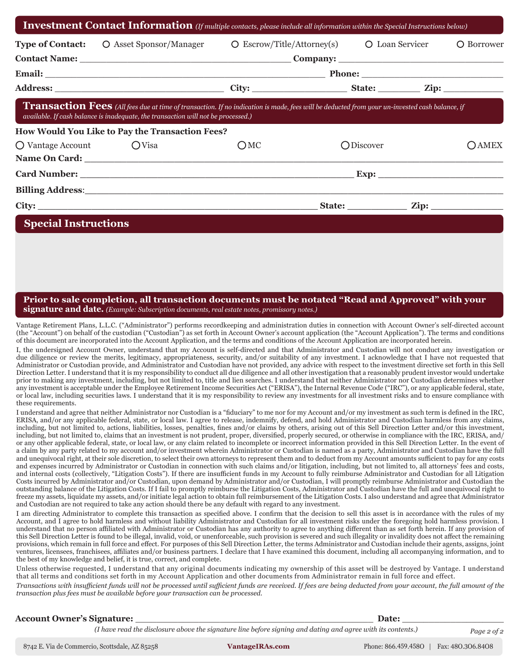|                         | <b>Type of Contact:</b> O Asset Sponsor/Manager                                                                                                                                                                                           | $\overline{O}$ Escrow/Title/Attorney(s) $\overline{O}$ Loan Servicer |           |                                               |       |  |  |
|-------------------------|-------------------------------------------------------------------------------------------------------------------------------------------------------------------------------------------------------------------------------------------|----------------------------------------------------------------------|-----------|-----------------------------------------------|-------|--|--|
|                         |                                                                                                                                                                                                                                           |                                                                      |           |                                               |       |  |  |
|                         |                                                                                                                                                                                                                                           |                                                                      |           |                                               |       |  |  |
|                         |                                                                                                                                                                                                                                           |                                                                      |           |                                               |       |  |  |
|                         | <b>Transaction Fees</b> (All fees due at time of transaction. If no indication is made, fees will be deducted from your un-invested cash balance, if<br>available. If cash balance is inadequate, the transaction will not be processed.) |                                                                      |           |                                               |       |  |  |
|                         | How Would You Like to Pay the Transaction Fees?                                                                                                                                                                                           |                                                                      |           |                                               |       |  |  |
|                         |                                                                                                                                                                                                                                           |                                                                      |           |                                               |       |  |  |
|                         |                                                                                                                                                                                                                                           | ОМС                                                                  | ODiscover |                                               |       |  |  |
| O Vantage Account OVisa |                                                                                                                                                                                                                                           |                                                                      |           |                                               |       |  |  |
|                         |                                                                                                                                                                                                                                           |                                                                      |           | <u>Exp: _________________________________</u> |       |  |  |
|                         | Billing Address: 2008 and 2008 and 2008 and 2008 and 2008 and 2008 and 2008 and 2008 and 2008 and 2008 and 200                                                                                                                            |                                                                      |           |                                               | OAMEX |  |  |

### **Prior to sale completion, all transaction documents must be notated "Read and Approved" with your signature and date.** *(Example: Subscription documents, real estate notes, promissory notes.)*

Vantage Retirement Plans, L.L.C. ("Administrator") performs recordkeeping and administration duties in connection with Account Owner's self-directed account (the "Account") on behalf of the custodian ("Custodian") as set forth in Account Owner's account application (the "Account Application"). The terms and conditions of this document are incorporated into the Account Application, and the terms and conditions of the Account Application are incorporated herein.

I, the undersigned Account Owner, understand that my Account is self-directed and that Administrator and Custodian will not conduct any investigation or due diligence or review the merits, legitimacy, appropriateness, security, and/or suitability of any investment. I acknowledge that I have not requested that Administrator or Custodian provide, and Administrator and Custodian have not provided, any advice with respect to the investment directive set forth in this Sell Direction Letter. I understand that it is my responsibility to conduct all due diligence and all other investigation that a reasonably prudent investor would undertake prior to making any investment, including, but not limited to, title and lien searches. I understand that neither Administrator nor Custodian determines whether any investment is acceptable under the Employee Retirement Income Securities Act ("ERISA"), the Internal Revenue Code ("IRC"), or any applicable federal, state, or local law, including securities laws. I understand that it is my responsibility to review any investments for all investment risks and to ensure compliance with these requirements.

I understand and agree that neither Administrator nor Custodian is a "fiduciary" to me nor for my Account and/or my investment as such term is defined in the IRC, ERISA, and/or any applicable federal, state, or local law. I agree to release, indemnify, defend, and hold Administrator and Custodian harmless from any claims, including, but not limited to, actions, liabilities, losses, penalties, fines and/or claims by others, arising out of this Sell Direction Letter and/or this investment, including, but not limited to, claims that an investment is not prudent, proper, diversified, properly secured, or otherwise in compliance with the IRC, ERISA, and/ or any other applicable federal, state, or local law, or any claim related to incomplete or incorrect information provided in this Sell Direction Letter. In the event of a claim by any party related to my account and/or investment wherein Administrator or Custodian is named as a party, Administrator and Custodian have the full and unequivocal right, at their sole discretion, to select their own attorneys to represent them and to deduct from my Account amounts sufficient to pay for any costs and expenses incurred by Administrator or Custodian in connection with such claims and/or litigation, including, but not limited to, all attorneys' fees and costs, and internal costs (collectively, "Litigation Costs"). If there are insufficient funds in my Account to fully reimburse Administrator and Custodian for all Litigation Costs incurred by Administrator and/or Custodian, upon demand by Administrator and/or Custodian, I will promptly reimburse Administrator and Custodian the outstanding balance of the Litigation Costs. If I fail to promptly reimburse the Litigation Costs, Administrator and Custodian have the full and unequivocal right to freeze my assets, liquidate my assets, and/or initiate legal action to obtain full reimbursement of the Litigation Costs. I also understand and agree that Administrator and Custodian are not required to take any action should there be any default with regard to any investment.

I am directing Administrator to complete this transaction as specified above. I confirm that the decision to sell this asset is in accordance with the rules of my Account, and I agree to hold harmless and without liability Administrator and Custodian for all investment risks under the foregoing hold harmless provision. I understand that no person affiliated with Administrator or Custodian has any authority to agree to anything different than as set forth herein. If any provision of this Sell Direction Letter is found to be illegal, invalid, void, or unenforceable, such provision is severed and such illegality or invalidity does not affect the remaining provisions, which remain in full force and effect. For purposes of this Sell Direction Letter, the terms Administrator and Custodian include their agents, assigns, joint ventures, licensees, franchisees, affiliates and/or business partners. I declare that I have examined this document, including all accompanying information, and to the best of my knowledge and belief, it is true, correct, and complete.

Unless otherwise requested, I understand that any original documents indicating my ownership of this asset will be destroyed by Vantage. I understand that all terms and conditions set forth in my Account Application and other documents from Administrator remain in full force and effect.

*Transactions with insufficient funds will not be processed until sufficient funds are received. If fees are being deducted from your account, the full amount of the transaction plus fees must be available before your transaction can be processed.*

| <b>Account Owner's Signature:</b>              |                                                                                                              | Date:               |                   |  |  |
|------------------------------------------------|--------------------------------------------------------------------------------------------------------------|---------------------|-------------------|--|--|
|                                                | (I have read the disclosure above the signature line before signing and dating and agree with its contents.) |                     | Page 2 of 2       |  |  |
| 8742 E. Via de Commercio, Scottsdale, AZ 85258 | <b>VantageIRAs.com</b>                                                                                       | Phone: 866.459.4580 | Fax: 480.306.8408 |  |  |